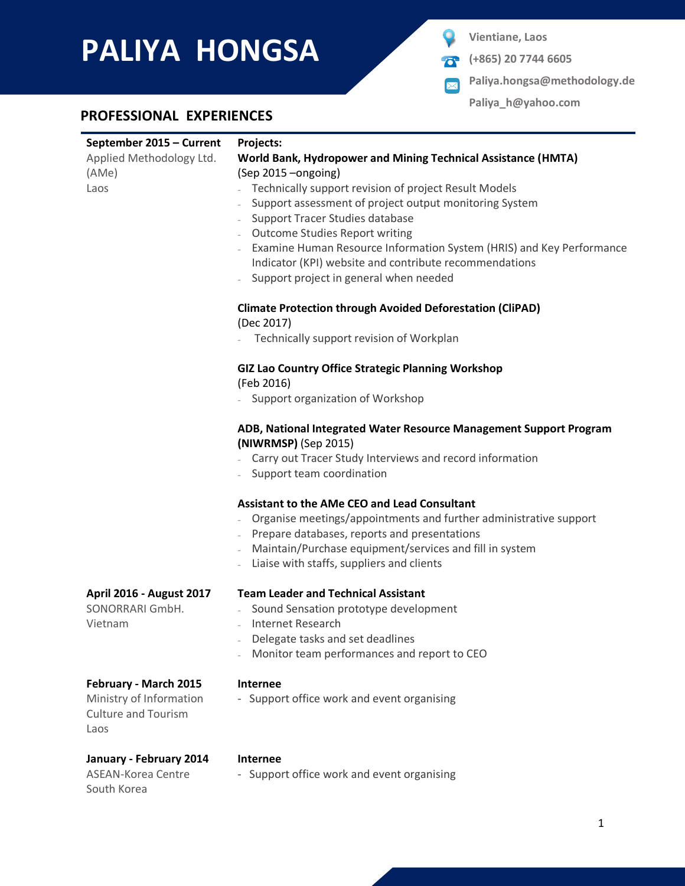# **PALIYA HONGSA PALIYA PALIYA Vientiane**, Laos

- **(+865) 20 7744 6605**
- **Paliya.hongsa@methodology.de**  $\boxtimes$

**Paliya\_h@yahoo.com**

## **PROFESSIONAL EXPERIENCES**

| September 2015 - Current<br>Applied Methodology Ltd.<br>(AMe)<br>Laos                  | Projects:<br>World Bank, Hydropower and Mining Technical Assistance (HMTA)<br>(Sep 2015 - ongoing)<br>Technically support revision of project Result Models<br>Support assessment of project output monitoring System<br>Support Tracer Studies database<br><b>Outcome Studies Report writing</b><br>Examine Human Resource Information System (HRIS) and Key Performance<br>Indicator (KPI) website and contribute recommendations<br>Support project in general when needed |  |  |
|----------------------------------------------------------------------------------------|-------------------------------------------------------------------------------------------------------------------------------------------------------------------------------------------------------------------------------------------------------------------------------------------------------------------------------------------------------------------------------------------------------------------------------------------------------------------------------|--|--|
|                                                                                        | <b>Climate Protection through Avoided Deforestation (CliPAD)</b><br>(Dec 2017)<br>Technically support revision of Workplan                                                                                                                                                                                                                                                                                                                                                    |  |  |
|                                                                                        | <b>GIZ Lao Country Office Strategic Planning Workshop</b><br>(Feb 2016)<br>Support organization of Workshop                                                                                                                                                                                                                                                                                                                                                                   |  |  |
|                                                                                        | ADB, National Integrated Water Resource Management Support Program<br>(NIWRMSP) (Sep 2015)<br>- Carry out Tracer Study Interviews and record information<br>- Support team coordination                                                                                                                                                                                                                                                                                       |  |  |
|                                                                                        | <b>Assistant to the AMe CEO and Lead Consultant</b><br>Organise meetings/appointments and further administrative support<br>- Prepare databases, reports and presentations<br>Maintain/Purchase equipment/services and fill in system<br>Liaise with staffs, suppliers and clients                                                                                                                                                                                            |  |  |
| April 2016 - August 2017<br>SONORRARI GmbH.<br>Vietnam                                 | <b>Team Leader and Technical Assistant</b><br>Sound Sensation prototype development<br>- Internet Research<br>Delegate tasks and set deadlines<br>Monitor team performances and report to CEO                                                                                                                                                                                                                                                                                 |  |  |
| February - March 2015<br>Ministry of Information<br><b>Culture and Tourism</b><br>Laos | <b>Internee</b><br>- Support office work and event organising                                                                                                                                                                                                                                                                                                                                                                                                                 |  |  |
| January - February 2014<br><b>ASEAN-Korea Centre</b><br>South Korea                    | <b>Internee</b><br>- Support office work and event organising                                                                                                                                                                                                                                                                                                                                                                                                                 |  |  |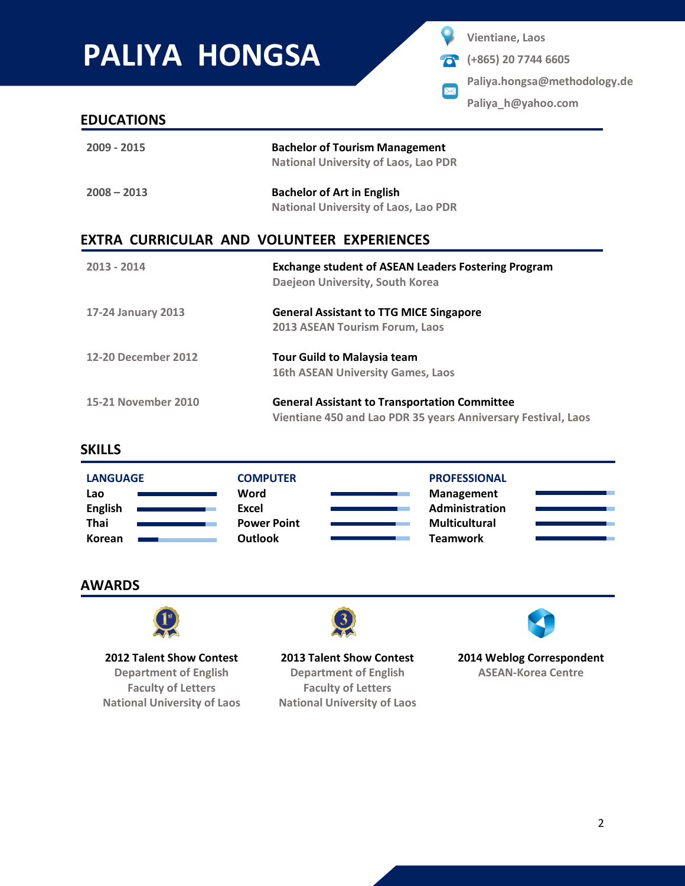# **PALIYA HONGSA**

**Vientiane, Laos**

 $\bm{\times}$ 

- **(+865) 20 7744 6605**  $\sigma$ 
	- **Paliya.hongsa@methodology.de**

**Paliya\_h@yahoo.com**

### **EDUCATIONS**

| 2009 - 2015   | <b>Bachelor of Tourism Management</b><br><b>National University of Laos, Lao PDR</b> |
|---------------|--------------------------------------------------------------------------------------|
| $2008 - 2013$ | <b>Bachelor of Art in English</b><br><b>National University of Laos, Lao PDR</b>     |

## **EXTRA CURRICULAR AND VOLUNTEER EXPERIENCES**

| 2013 - 2014         | <b>Exchange student of ASEAN Leaders Fostering Program</b><br>Daejeon University, South Korea                         |  |  |
|---------------------|-----------------------------------------------------------------------------------------------------------------------|--|--|
| 17-24 January 2013  | <b>General Assistant to TTG MICE Singapore</b><br>2013 ASEAN Tourism Forum, Laos                                      |  |  |
| 12-20 December 2012 | <b>Tour Guild to Malaysia team</b><br><b>16th ASEAN University Games, Laos</b>                                        |  |  |
| 15-21 November 2010 | <b>General Assistant to Transportation Committee</b><br>Vientiane 450 and Lao PDR 35 years Anniversary Festival, Laos |  |  |

### **SKILLS**

| <b>LANGUAGE</b> | <b>COMPUTER</b>    | <b>PROFESSIONAL</b>  |  |
|-----------------|--------------------|----------------------|--|
| Lao             | Word               | <b>Management</b>    |  |
| <b>English</b>  | Excel              | Administration       |  |
| <b>Thai</b>     | <b>Power Point</b> | <b>Multicultural</b> |  |
| Korean          | <b>Outlook</b>     | <b>Teamwork</b>      |  |

## **AWARDS**



**2012 Talent Show Contest Department of English**

**Faculty of Letters National University of Laos**



**2013 Talent Show Contest Department of English Faculty of Letters National University of Laos**



**2014 Weblog Correspondent ASEAN-Korea Centre**